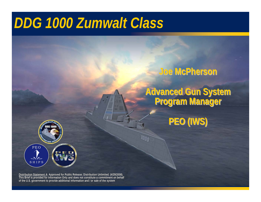# *DDG 1000 Zumwalt Class*

### **Joe McPherson Joe McPherson Joe McPherson**

## **Advanced Gun System Program Manager Advanced Gun System Advanced Gun System Program Manager Program Manager**

**PEO (IWS) PEO (IWS) PEO (IWS)**

PEOSHIPS

**Distribution Statement A: Approved for Public Release; Distribution Unlimited. (4/29/2008). This Brief is provided for Information Only and does not constitute a commitment on behalf of the U.S. government to provide additional information and / or sale of the system Distribution Statement A: Approved for Public Release; Distribution Unlimited. (4/29/2008). This Brief is provided for Information Only and does not constitute a commitment on behalf of the U.S. government to provide additional information and / or sale of the system**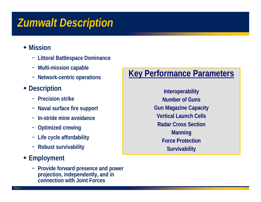# *Zumwalt Description*

- **Mission** 
	- − **Littoral Battlespace Dominance**
	- −**Multi-mission capable**
	- − **Network-centric operations**
- **Description**
	- − **Precision strike**
	- − **Naval surface fire support**
	- − **In-stride mine avoidance**
	- −**Optimized crewing**
	- −**Life cycle affordability**
	- − **Robust survivability**

### **Employment**

− **Provide forward presence and power projection, independently, and in connection with Joint Forces**

## **Key Performance Parameters**

**Interoperability Number of GunsGun Magazine Capacity Vertical Launch CellsRadar Cross SectionManning Force Protection Survivability**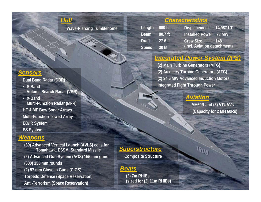### *Hull*

**Wave-Piercing Tumblehome** 

#### *Characteristics*

| Length 600 ft |         | <b>Displacement</b>         | 14,987 LT    |
|---------------|---------|-----------------------------|--------------|
| <b>Beam</b>   | 80.7 ft | <b>Installed Power</b>      | <b>78 MW</b> |
| <b>Draft</b>  | 27.6 ft | <b>Crew Size</b>            | 148          |
| <b>Speed</b>  | 30 kt   | (incl. Aviation detachment) |              |

#### *Integrated Power System (IPS)*

**(2) Main Turbine Generators (MTG) (2) Auxiliary Turbine Generators (ATG) (2) 34.6 MW Advanced Induction Motors Integrated Fight Through Power**

#### *Aviation*

**MH60R and (3) VTUAVs (Capacity for 2 MH 60Rs)**

3

#### *Sensors*

**Dual Band Radar (DBR)**

- **S-Band Volume Search Radar (VSR)**
- **X-Band Multi-Function Radar (MFR) HF & MF Bow Sonar Arrays Multi-Function Towed Array EO/IR System ES System**

#### *Weapons*

filename

**(80) Advanced Vertical Launch (AVLS) cells for Tomahawk, ESSM, Standard Missile (2) Advanced Gun System (AGS) 155 mm guns (600) 155 mm rounds (2) 57 mm Close In Guns (CIGS) Torpedo Defense (Space Reservation) Anti-Terrorism (Space Reservation)**

#### *Superstructure*

**Composite Structure**

#### *Boats*

**ITATION** 

**3 Andrew Street, the State And Street, the Street And Street, and Market And Street, and Street And Street And Street And Street And Street And Street** 

**(2) 7m RHIBs (sized for (2) 11m RHIBs)**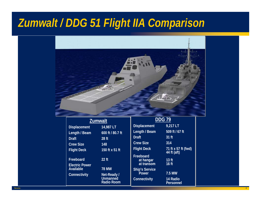# *Zumwalt / DDG 51 Flight IIA Comparison*



**Draft**

#### **Zumwalt Zumwalt**

| <b>Displacement</b>                       | 14,987 LT                      |  |  |  |
|-------------------------------------------|--------------------------------|--|--|--|
| Length / Beam                             | 600 ft / 80.7 ft               |  |  |  |
| <b>Draft</b>                              | 28 ft                          |  |  |  |
| <b>Crew Size</b>                          | 148                            |  |  |  |
| <b>Flight Deck</b>                        | 150 ft x 51 ft                 |  |  |  |
| Freeboard                                 | $22$ ft                        |  |  |  |
| <b>Electric Power</b><br><b>Available</b> | <b>78 MW</b>                   |  |  |  |
| <b>Connectivity</b>                       | Net-Ready /<br><b>Unmanned</b> |  |  |  |

| 14,987 LT       |  |
|-----------------|--|
| 600 ft / 80.7 f |  |
| 28 ft           |  |
| 148             |  |
| 150 ft x 51 ft  |  |
| $22$ ft         |  |
|                 |  |
| 78 MW           |  |

| 150 IL X 5 I IL                       |
|---------------------------------------|
| $22$ ft                               |
| <b>78 MW</b>                          |
| Net-Ready /<br>Unmanned<br>Radio Room |

| <b>DDG 79</b>                               |                                    |  |  |  |  |  |  |
|---------------------------------------------|------------------------------------|--|--|--|--|--|--|
| <b>Displacement</b>                         | $9,217$ LT                         |  |  |  |  |  |  |
| Length / Beam                               | $509$ ft / 67 ft                   |  |  |  |  |  |  |
| <b>Draft</b>                                | $31$ ft                            |  |  |  |  |  |  |
| <b>Crew Size</b>                            | 314                                |  |  |  |  |  |  |
| <b>Flight Deck</b>                          | 71 ft x 57 ft (fwd)<br>44 ft (aft) |  |  |  |  |  |  |
| <b>Freeboard</b><br>at hangar<br>at transom | 13 <sub>ft</sub><br>16 ft          |  |  |  |  |  |  |
| <b>Ship's Service</b><br>Power              | <b>7.5 MW</b>                      |  |  |  |  |  |  |
| Connectivity                                | 14 Radio<br><b>Personnel</b>       |  |  |  |  |  |  |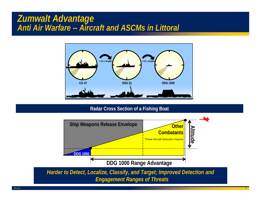### *Zumwalt Advantage Anti Air Warfare -- Aircraft and ASCMs in Littoral*



#### **Radar Cross Section of a Fishing Boat**



filename

e de la construcción de la construcción de la construcción de la construcción de la construcción de la construcción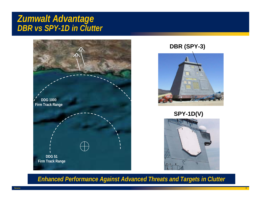### *Zumwalt Advantage DBR vs SPY-1D in Clutter*



#### **DBR (SPY-3)**



#### **SPY-1D(V)**



*Enhanced Performance Against Advanced Threats and Targets in Clutter*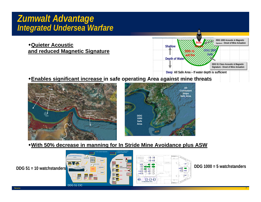### *Zumwalt Advantage Integrated Undersea Warfare*

**Quieter Acoustic and reduced Magnetic Signature**



#### **Enables significant increase in safe operating Area against mine threats**





#### **With 50% decrease in manning for In Stride Mine Avoidance plus ASW**

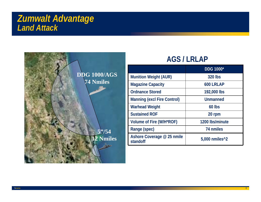### *Zumwalt Advantage Land Attack*



### **AGS / LRLAP**

|                                        | <b>DDG 1000*</b>            |  |  |  |
|----------------------------------------|-----------------------------|--|--|--|
| <b>Munition Weight (AUR)</b>           | <b>320 lbs</b>              |  |  |  |
| <b>Magazine Capacity</b>               | 600 LRLAP                   |  |  |  |
| <b>Ordnance Stored</b>                 | 192,000 lbs                 |  |  |  |
| <b>Manning (excl Fire Control)</b>     | Unmanned                    |  |  |  |
| <b>Warhead Weight</b>                  | $60$ lbs                    |  |  |  |
| <b>Sustained ROF</b>                   | 20 rpm                      |  |  |  |
| Volume of Fire (W/H*ROF)               | 1200 lbs/minute             |  |  |  |
| Range (spec)                           | 74 nmiles                   |  |  |  |
| Ashore Coverage @ 25 nmile<br>standoff | $5,000$ nmiles $^{\wedge}2$ |  |  |  |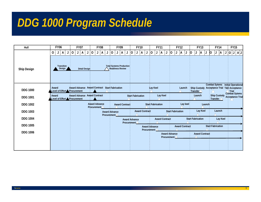# *DDG 1000 Program Schedule*

| Hull               | <b>FY06</b>                                         | <b>FY07</b>                                                   | <b>FY08</b>      | <b>FY09</b>                                                                               | <b>FY10</b>         | <b>FY11</b>   | <b>FY12</b> | <b>FY13</b>                                                                                                                                                                                                                                                                                                                                                                                                                                                                                                                                                                                                                                                                                                                                                                                                                                                                                                                                                                                                                                                                                                                                                                                                                                                                                                                                                                                                                                                                                                                                                                                                                                                           | <b>FY14</b> | <b>FY15</b>                                       |
|--------------------|-----------------------------------------------------|---------------------------------------------------------------|------------------|-------------------------------------------------------------------------------------------|---------------------|---------------|-------------|-----------------------------------------------------------------------------------------------------------------------------------------------------------------------------------------------------------------------------------------------------------------------------------------------------------------------------------------------------------------------------------------------------------------------------------------------------------------------------------------------------------------------------------------------------------------------------------------------------------------------------------------------------------------------------------------------------------------------------------------------------------------------------------------------------------------------------------------------------------------------------------------------------------------------------------------------------------------------------------------------------------------------------------------------------------------------------------------------------------------------------------------------------------------------------------------------------------------------------------------------------------------------------------------------------------------------------------------------------------------------------------------------------------------------------------------------------------------------------------------------------------------------------------------------------------------------------------------------------------------------------------------------------------------------|-------------|---------------------------------------------------|
| <b>Ship Design</b> | $\mathsf{A}$<br>0<br>J<br>J<br>Transition<br>Design | $\mathbf 0$<br>A<br>J<br>J<br><b>Detail Design</b>            | 0<br>A<br>J<br>J | A <br>$\mathbf 0$<br>J<br>J<br><b>Total Systems Production</b><br><b>Readiness Review</b> | 10<br>  A<br>J<br>J | 0<br> A <br>J | A<br>0<br>J | 0<br> A                                                                                                                                                                                                                                                                                                                                                                                                                                                                                                                                                                                                                                                                                                                                                                                                                                                                                                                                                                                                                                                                                                                                                                                                                                                                                                                                                                                                                                                                                                                                                                                                                                                               | A<br>J      | $\lfloor  A  \lfloor 0 \rfloor \lfloor 1 \rfloor$ |
| <b>DDG 1000</b>    | Award<br>Level of Effort                            | Award Advance Award Contract Start Fabrication<br>Procurement |                  |                                                                                           |                     | Lay Keel      | Launch      | Ship Custody Acceptance Trial T&# Acceptance<br><math>Transfer/\sqrt{ }</math></td><td>Combat Sytems Initial Operational</td><td><math>\triangle</math>Trial<br>Combat Sytems</td></tr><tr><td><b>DDG 1001</b></td><td>Award<br>Level of Effort <b>AP</b>rocurement</td><td><b>Award Advance Award Contract</b></td><td></td><td></td><td><b>Start Fabrication</b></td><td>Lay Keel</td><td></td><td>Launch</td><td>Ship Custody Acceptance Trial<br>Transfer <math>\wedge</math></td><td></td></tr><tr><td><b>DDG 1002</b></td><td></td><td></td><td><b>Award Advance</b><br><math>Prlocurement/\sqrt{ }</math></td><td><b>Award Contract</b></td><td></td><td><b>Start Fabrication</b></td><td>Lay keel</td><td>Launch</td><td></td><td></td></tr><tr><td><b>DDG 1003</b></td><td></td><td></td><td>Procurement<math>\wedge</math></td><td><b>Award Advance</b></td><td><b>Award Contract</b></td><td></td><td><b>Start Fabrication</b></td><td>Lay Keel</td><td>Launch</td><td></td></tr><tr><td><b>DDG 1004</b></td><td></td><td></td><td></td><td></td><td><b>Award Advance</b><br>Procurement<math>\triangle</math></td><td><b>Award Contract</b></td><td></td><td><b>Start Fabrication</b></td><td>Lay Keel</td><td></td></tr><tr><td><b>DDG 1005</b></td><td></td><td></td><td></td><td></td><td></td><td><b>Award Advance</b><br>Procurement /</td><td><b>Award Contract</b></td><td></td><td>Start Fabrication</td><td></td></tr><tr><td><b>DDG 1006</b></td><td></td><td></td><td></td><td></td><td></td><td></td><td><b>Award Advance</b><br>Procurement <math>\triangle</math></td><td><b>Award Contract</b></td><td></td><td></td></tr></tbody></table> |             |                                                   |